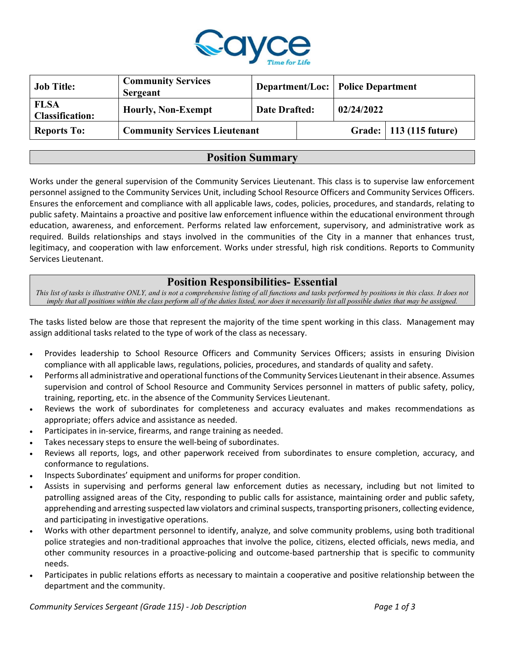

| <b>Job Title:</b>                     | <b>Community Services</b><br><b>Sergeant</b> |                      | <b>Department/Loc: Police Department</b> |                           |
|---------------------------------------|----------------------------------------------|----------------------|------------------------------------------|---------------------------|
| <b>FLSA</b><br><b>Classification:</b> | <b>Hourly, Non-Exempt</b>                    | <b>Date Drafted:</b> | 02/24/2022                               |                           |
| <b>Reports To:</b>                    | <b>Community Services Lieutenant</b>         |                      |                                          | Grade:   113 (115 future) |

### Position Summary

Works under the general supervision of the Community Services Lieutenant. This class is to supervise law enforcement personnel assigned to the Community Services Unit, including School Resource Officers and Community Services Officers. Ensures the enforcement and compliance with all applicable laws, codes, policies, procedures, and standards, relating to public safety. Maintains a proactive and positive law enforcement influence within the educational environment through education, awareness, and enforcement. Performs related law enforcement, supervisory, and administrative work as required. Builds relationships and stays involved in the communities of the City in a manner that enhances trust, legitimacy, and cooperation with law enforcement. Works under stressful, high risk conditions. Reports to Community Services Lieutenant.

## Position Responsibilities- Essential

This list of tasks is illustrative ONLY, and is not a comprehensive listing of all functions and tasks performed by positions in this class. It does not imply that all positions within the class perform all of the duties listed, nor does it necessarily list all possible duties that may be assigned.

The tasks listed below are those that represent the majority of the time spent working in this class. Management may assign additional tasks related to the type of work of the class as necessary.

- Provides leadership to School Resource Officers and Community Services Officers; assists in ensuring Division compliance with all applicable laws, regulations, policies, procedures, and standards of quality and safety.
- Performs all administrative and operational functions of the Community Services Lieutenant in their absence. Assumes supervision and control of School Resource and Community Services personnel in matters of public safety, policy, training, reporting, etc. in the absence of the Community Services Lieutenant.
- Reviews the work of subordinates for completeness and accuracy evaluates and makes recommendations as appropriate; offers advice and assistance as needed.
- Participates in in-service, firearms, and range training as needed.
- Takes necessary steps to ensure the well-being of subordinates.
- Reviews all reports, logs, and other paperwork received from subordinates to ensure completion, accuracy, and conformance to regulations.
- Inspects Subordinates' equipment and uniforms for proper condition.
- Assists in supervising and performs general law enforcement duties as necessary, including but not limited to patrolling assigned areas of the City, responding to public calls for assistance, maintaining order and public safety, apprehending and arresting suspected law violators and criminal suspects, transporting prisoners, collecting evidence, and participating in investigative operations.
- Works with other department personnel to identify, analyze, and solve community problems, using both traditional police strategies and non-traditional approaches that involve the police, citizens, elected officials, news media, and other community resources in a proactive-policing and outcome-based partnership that is specific to community needs.
- Participates in public relations efforts as necessary to maintain a cooperative and positive relationship between the department and the community.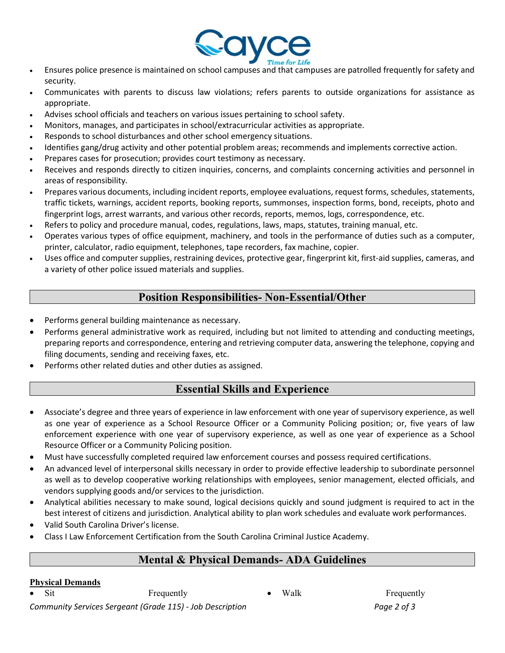

- Ensures police presence is maintained on school campuses and that campuses are patrolled frequently for safety and security.
- Communicates with parents to discuss law violations; refers parents to outside organizations for assistance as appropriate.
- Advises school officials and teachers on various issues pertaining to school safety.
- Monitors, manages, and participates in school/extracurricular activities as appropriate.
- Responds to school disturbances and other school emergency situations.
- Identifies gang/drug activity and other potential problem areas; recommends and implements corrective action.
- Prepares cases for prosecution; provides court testimony as necessary.
- Receives and responds directly to citizen inquiries, concerns, and complaints concerning activities and personnel in areas of responsibility.
- Prepares various documents, including incident reports, employee evaluations, request forms, schedules, statements, traffic tickets, warnings, accident reports, booking reports, summonses, inspection forms, bond, receipts, photo and fingerprint logs, arrest warrants, and various other records, reports, memos, logs, correspondence, etc.
- Refers to policy and procedure manual, codes, regulations, laws, maps, statutes, training manual, etc.
- Operates various types of office equipment, machinery, and tools in the performance of duties such as a computer, printer, calculator, radio equipment, telephones, tape recorders, fax machine, copier.
- Uses office and computer supplies, restraining devices, protective gear, fingerprint kit, first-aid supplies, cameras, and a variety of other police issued materials and supplies.

## Position Responsibilities- Non-Essential/Other

- Performs general building maintenance as necessary.
- Performs general administrative work as required, including but not limited to attending and conducting meetings, preparing reports and correspondence, entering and retrieving computer data, answering the telephone, copying and filing documents, sending and receiving faxes, etc.
- Performs other related duties and other duties as assigned.

# Essential Skills and Experience

- Associate's degree and three years of experience in law enforcement with one year of supervisory experience, as well as one year of experience as a School Resource Officer or a Community Policing position; or, five years of law enforcement experience with one year of supervisory experience, as well as one year of experience as a School Resource Officer or a Community Policing position.
- Must have successfully completed required law enforcement courses and possess required certifications.
- An advanced level of interpersonal skills necessary in order to provide effective leadership to subordinate personnel as well as to develop cooperative working relationships with employees, senior management, elected officials, and vendors supplying goods and/or services to the jurisdiction.
- Analytical abilities necessary to make sound, logical decisions quickly and sound judgment is required to act in the best interest of citizens and jurisdiction. Analytical ability to plan work schedules and evaluate work performances.
- Valid South Carolina Driver's license.
- Class I Law Enforcement Certification from the South Carolina Criminal Justice Academy.

# Mental & Physical Demands- ADA Guidelines

#### Physical Demands

• Sit Frequently **Frequently** • Walk Frequently

Community Services Sergeant (Grade 115) - Job Description Page 2 of 3